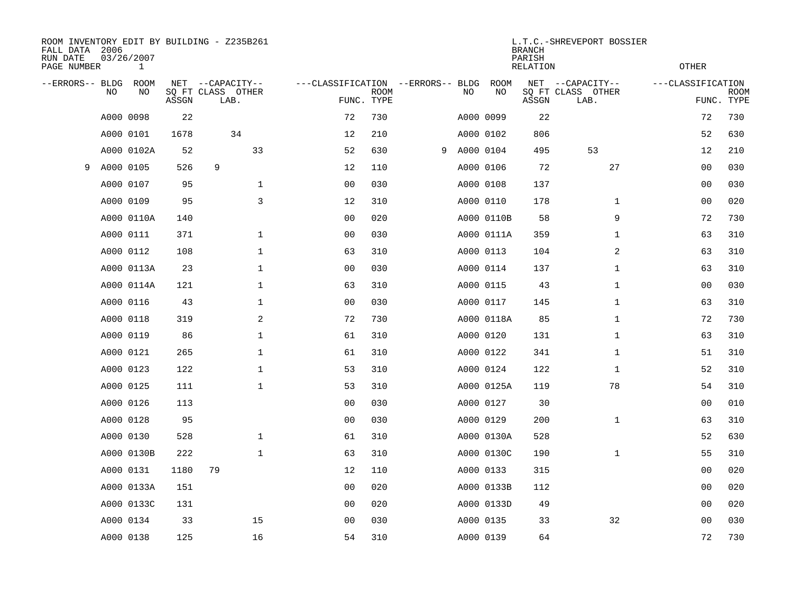| FALL DATA 2006<br>RUN DATE<br>PAGE NUMBER |           | 03/26/2007<br>$\mathbf{1}$ |       | ROOM INVENTORY EDIT BY BUILDING - Z235B261    |                                                 |             |             | L.T.C.-SHREVEPORT BOSSIER<br><b>RELATION</b> | <b>OTHER</b> |                                               |                   |                           |
|-------------------------------------------|-----------|----------------------------|-------|-----------------------------------------------|-------------------------------------------------|-------------|-------------|----------------------------------------------|--------------|-----------------------------------------------|-------------------|---------------------------|
| --ERRORS-- BLDG                           | <b>NO</b> | ROOM<br>NO                 | ASSGN | NET --CAPACITY--<br>SQ FT CLASS OTHER<br>LAB. | ---CLASSIFICATION --ERRORS-- BLDG<br>FUNC. TYPE | <b>ROOM</b> | NO          | ROOM<br>NO                                   | ASSGN        | NET --CAPACITY--<br>SQ FT CLASS OTHER<br>LAB. | ---CLASSIFICATION | <b>ROOM</b><br>FUNC. TYPE |
|                                           |           | A000 0098                  | 22    |                                               | 72                                              | 730         |             | A000 0099                                    | 22           |                                               | 72                | 730                       |
|                                           |           | A000 0101                  | 1678  | 34                                            | 12                                              | 210         |             | A000 0102                                    | 806          |                                               | 52                | 630                       |
|                                           |           | A000 0102A                 | 52    | 33                                            | 52                                              | 630         | 9 A000 0104 |                                              | 495          | 53                                            | 12                | 210                       |
| 9                                         | A000 0105 |                            | 526   | 9                                             | 12                                              | 110         |             | A000 0106                                    | 72           | 27                                            | 0 <sub>0</sub>    | 030                       |
|                                           |           | A000 0107                  | 95    | $\mathbf 1$                                   | 0 <sub>0</sub>                                  | 030         |             | A000 0108                                    | 137          |                                               | 0 <sub>0</sub>    | 030                       |
|                                           |           | A000 0109                  | 95    | 3                                             | 12                                              | 310         |             | A000 0110                                    | 178          | $\mathbf{1}$                                  | 0 <sub>0</sub>    | 020                       |
|                                           |           | A000 0110A                 | 140   |                                               | 0 <sub>0</sub>                                  | 020         |             | A000 0110B                                   | 58           | 9                                             | 72                | 730                       |
|                                           |           | A000 0111                  | 371   | $\mathbf 1$                                   | 0 <sub>0</sub>                                  | 030         |             | A000 0111A                                   | 359          | $\mathbf{1}$                                  | 63                | 310                       |
|                                           |           | A000 0112                  | 108   | $\mathbf 1$                                   | 63                                              | 310         |             | A000 0113                                    | 104          | 2                                             | 63                | 310                       |
|                                           |           | A000 0113A                 | 23    | $\mathbf 1$                                   | 0 <sub>0</sub>                                  | 030         |             | A000 0114                                    | 137          | $\mathbf{1}$                                  | 63                | 310                       |
|                                           |           | A000 0114A                 | 121   | $\mathbf 1$                                   | 63                                              | 310         |             | A000 0115                                    | 43           | $\mathbf{1}$                                  | 0 <sub>0</sub>    | 030                       |
|                                           |           | A000 0116                  | 43    | $\mathbf 1$                                   | 0 <sub>0</sub>                                  | 030         |             | A000 0117                                    | 145          | $\mathbf{1}$                                  | 63                | 310                       |
|                                           |           | A000 0118                  | 319   | 2                                             | 72                                              | 730         |             | A000 0118A                                   | 85           | $\mathbf{1}$                                  | 72                | 730                       |
|                                           |           | A000 0119                  | 86    | $\mathbf{1}$                                  | 61                                              | 310         |             | A000 0120                                    | 131          | $\mathbf{1}$                                  | 63                | 310                       |
|                                           |           | A000 0121                  | 265   | $\mathbf{1}$                                  | 61                                              | 310         |             | A000 0122                                    | 341          | $\mathbf{1}$                                  | 51                | 310                       |
|                                           |           | A000 0123                  | 122   | $\mathbf 1$                                   | 53                                              | 310         |             | A000 0124                                    | 122          | $\mathbf{1}$                                  | 52                | 310                       |
|                                           |           | A000 0125                  | 111   | $\mathbf 1$                                   | 53                                              | 310         |             | A000 0125A                                   | 119          | 78                                            | 54                | 310                       |
|                                           |           | A000 0126                  | 113   |                                               | 00                                              | 030         |             | A000 0127                                    | 30           |                                               | 00                | 010                       |
|                                           |           | A000 0128                  | 95    |                                               | 0 <sub>0</sub>                                  | 030         |             | A000 0129                                    | 200          | $\mathbf{1}$                                  | 63                | 310                       |
|                                           |           | A000 0130                  | 528   | $\mathbf 1$                                   | 61                                              | 310         |             | A000 0130A                                   | 528          |                                               | 52                | 630                       |
|                                           |           | A000 0130B                 | 222   | $\mathbf 1$                                   | 63                                              | 310         |             | A000 0130C                                   | 190          | $\mathbf{1}$                                  | 55                | 310                       |
|                                           |           | A000 0131                  | 1180  | 79                                            | 12                                              | 110         |             | A000 0133                                    | 315          |                                               | 00                | 020                       |
|                                           |           | A000 0133A                 | 151   |                                               | 0 <sub>0</sub>                                  | 020         |             | A000 0133B                                   | 112          |                                               | 0 <sub>0</sub>    | 020                       |
|                                           |           | A000 0133C                 | 131   |                                               | 00                                              | 020         |             | A000 0133D                                   | 49           |                                               | 0 <sub>0</sub>    | 020                       |
|                                           |           | A000 0134                  | 33    | 15                                            | 00                                              | 030         |             | A000 0135                                    | 33           | 32                                            | 00                | 030                       |
|                                           |           | A000 0138                  | 125   | 16                                            | 54                                              | 310         | A000 0139   |                                              | 64           |                                               | 72                | 730                       |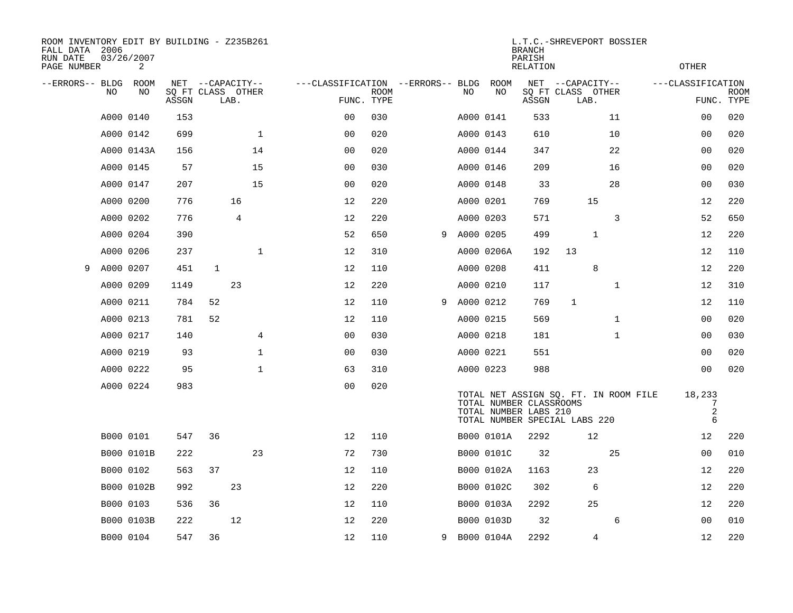| ROOM INVENTORY EDIT BY BUILDING - Z235B261<br>FALL DATA 2006<br>RUN DATE<br>PAGE NUMBER |           | 03/26/2007<br>2 |                            |                  |                |                |                                   |                           |   |           |            | <b>BRANCH</b><br>PARISH<br>RELATION              | L.T.C.-SHREVEPORT BOSSIER                                              |              | <b>OTHER</b>      |                           |
|-----------------------------------------------------------------------------------------|-----------|-----------------|----------------------------|------------------|----------------|----------------|-----------------------------------|---------------------------|---|-----------|------------|--------------------------------------------------|------------------------------------------------------------------------|--------------|-------------------|---------------------------|
| --ERRORS-- BLDG                                                                         | NO.       | ROOM<br>NO      | SQ FT CLASS OTHER<br>ASSGN | NET --CAPACITY-- | LAB.           |                | ---CLASSIFICATION --ERRORS-- BLDG | <b>ROOM</b><br>FUNC. TYPE |   | NO        | ROOM<br>NO | ASSGN                                            | NET --CAPACITY--<br>SQ FT CLASS OTHER<br>LAB.                          |              | ---CLASSIFICATION | <b>ROOM</b><br>FUNC. TYPE |
|                                                                                         | A000 0140 |                 | 153                        |                  |                |                | 00                                | 030                       |   |           | A000 0141  | 533                                              |                                                                        | 11           |                   | 0 <sub>0</sub><br>020     |
|                                                                                         | A000 0142 |                 | 699                        |                  |                | $\mathbf 1$    | 0 <sub>0</sub>                    | 020                       |   |           | A000 0143  | 610                                              |                                                                        | 10           |                   | 00<br>020                 |
|                                                                                         |           | A000 0143A      | 156                        |                  |                | 14             | 00                                | 020                       |   |           | A000 0144  | 347                                              |                                                                        | 22           |                   | 00<br>020                 |
|                                                                                         | A000 0145 |                 | 57                         |                  |                | 15             | 0 <sub>0</sub>                    | 030                       |   |           | A000 0146  | 209                                              |                                                                        | 16           |                   | 020<br>0 <sub>0</sub>     |
|                                                                                         | A000 0147 |                 | 207                        |                  |                | 15             | 0 <sub>0</sub>                    | 020                       |   |           | A000 0148  | 33                                               |                                                                        | 28           |                   | 030<br>00                 |
|                                                                                         | A000 0200 |                 | 776                        |                  | 16             |                | 12                                | 220                       |   |           | A000 0201  | 769                                              | 15                                                                     |              |                   | 220<br>12                 |
|                                                                                         | A000 0202 |                 | 776                        |                  | $\overline{4}$ |                | 12                                | 220                       |   |           | A000 0203  | 571                                              |                                                                        | 3            |                   | 52<br>650                 |
|                                                                                         | A000 0204 |                 | 390                        |                  |                |                | 52                                | 650                       | 9 | A000 0205 |            | 499                                              | 1                                                                      |              |                   | 220<br>12                 |
|                                                                                         | A000 0206 |                 | 237                        |                  |                | $\mathbf 1$    | 12                                | 310                       |   |           | A000 0206A | 192                                              | 13                                                                     |              |                   | 12<br>110                 |
| 9                                                                                       | A000 0207 |                 | 451                        | $\mathbf{1}$     |                |                | 12                                | 110                       |   |           | A000 0208  | 411                                              | 8                                                                      |              |                   | 220<br>12                 |
|                                                                                         | A000 0209 |                 | 1149                       |                  | 23             |                | 12                                | 220                       |   |           | A000 0210  | 117                                              |                                                                        | $\mathbf{1}$ |                   | 310<br>12                 |
|                                                                                         | A000 0211 |                 | 784                        | 52               |                |                | 12                                | 110                       | 9 | A000 0212 |            | 769                                              | $\mathbf{1}$                                                           |              |                   | 12<br>110                 |
|                                                                                         | A000 0213 |                 | 781                        | 52               |                |                | 12                                | 110                       |   |           | A000 0215  | 569                                              |                                                                        | $\mathbf{1}$ |                   | 020<br>00                 |
|                                                                                         | A000 0217 |                 | 140                        |                  |                | $\overline{4}$ | 00                                | 030                       |   |           | A000 0218  | 181                                              |                                                                        | $\mathbf{1}$ |                   | 030<br>0 <sub>0</sub>     |
|                                                                                         | A000 0219 |                 | 93                         |                  |                | 1              | 0 <sub>0</sub>                    | 030                       |   |           | A000 0221  | 551                                              |                                                                        |              |                   | 00<br>020                 |
|                                                                                         | A000 0222 |                 | 95                         |                  |                | $\mathbf 1$    | 63                                | 310                       |   |           | A000 0223  | 988                                              |                                                                        |              |                   | 020<br>00                 |
|                                                                                         | A000 0224 |                 | 983                        |                  |                |                | 0 <sub>0</sub>                    | 020                       |   |           |            | TOTAL NUMBER CLASSROOMS<br>TOTAL NUMBER LABS 210 | TOTAL NET ASSIGN SQ. FT. IN ROOM FILE<br>TOTAL NUMBER SPECIAL LABS 220 |              | 18,233            | 7<br>$\overline{2}$<br>6  |
|                                                                                         | B000 0101 |                 | 547                        | 36               |                |                | 12                                | 110                       |   |           | B000 0101A | 2292                                             | 12                                                                     |              |                   | 12<br>220                 |
|                                                                                         |           | B000 0101B      | 222                        |                  |                | 23             | 72                                | 730                       |   |           | B000 0101C | 32                                               |                                                                        | 25           |                   | 0 <sub>0</sub><br>010     |
|                                                                                         | B000 0102 |                 | 563                        | 37               |                |                | 12                                | 110                       |   |           | B000 0102A | 1163                                             | 23                                                                     |              |                   | 220<br>12                 |
|                                                                                         |           | B000 0102B      | 992                        |                  | 23             |                | 12                                | 220                       |   |           | B000 0102C | 302                                              | 6                                                                      |              |                   | 220<br>12                 |
|                                                                                         | B000 0103 |                 | 536                        | 36               |                |                | 12                                | 110                       |   |           | B000 0103A | 2292                                             | 25                                                                     |              |                   | 220<br>12                 |
|                                                                                         |           | B000 0103B      | 222                        |                  | 12             |                | 12                                | 220                       |   |           | B000 0103D | 32                                               |                                                                        | 6            |                   | 0 <sub>0</sub><br>010     |
|                                                                                         |           | B000 0104       | 547                        | 36               |                |                | 12                                | 110                       | 9 |           | B000 0104A | 2292                                             | 4                                                                      |              |                   | 12<br>220                 |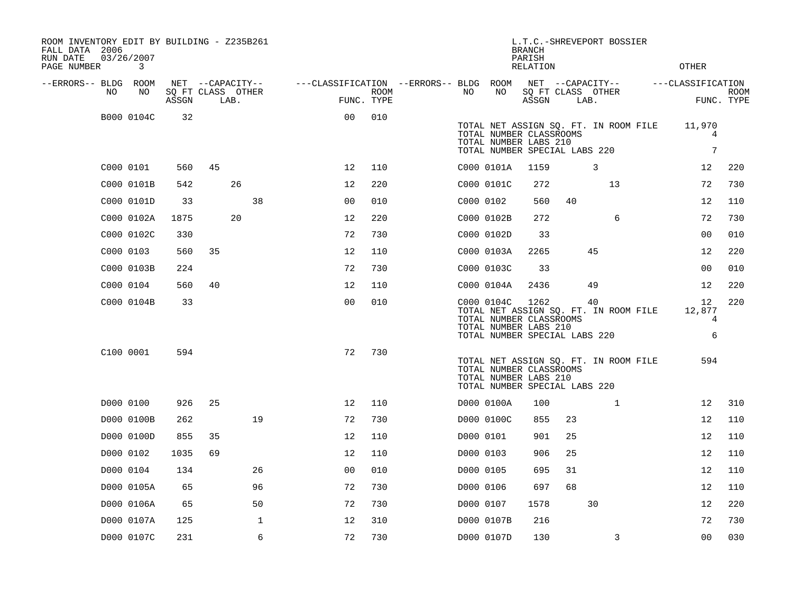| ROOM INVENTORY EDIT BY BUILDING - Z235B261<br>FALL DATA 2006<br>RUN DATE<br>PAGE NUMBER | 03/26/2007<br>3 |       |    |                           |                                        |                    |           |                                                                                                 | <b>BRANCH</b><br>PARISH<br><b>RELATION</b> |      | L.T.C.-SHREVEPORT BOSSIER                   | OTHER                  |                           |
|-----------------------------------------------------------------------------------------|-----------------|-------|----|---------------------------|----------------------------------------|--------------------|-----------|-------------------------------------------------------------------------------------------------|--------------------------------------------|------|---------------------------------------------|------------------------|---------------------------|
| --ERRORS-- BLDG ROOM                                                                    |                 |       |    | NET --CAPACITY--          | ---CLASSIFICATION --ERRORS-- BLDG ROOM |                    |           |                                                                                                 |                                            |      | NET --CAPACITY--                            | ---CLASSIFICATION      |                           |
| NO                                                                                      | NO              | ASSGN |    | SQ FT CLASS OTHER<br>LAB. |                                        | ROOM<br>FUNC. TYPE | NO        | NO                                                                                              | ASSGN                                      | LAB. | SQ FT CLASS OTHER                           |                        | <b>ROOM</b><br>FUNC. TYPE |
|                                                                                         | B000 0104C      | 32    |    |                           | 0 <sup>0</sup>                         | 010                |           | TOTAL NUMBER CLASSROOMS<br>TOTAL NUMBER LABS 210<br>TOTAL NUMBER SPECIAL LABS 220               |                                            |      | TOTAL NET ASSIGN SQ. FT. IN ROOM FILE       | 11,970<br>4<br>7       |                           |
|                                                                                         | C000 0101       | 560   | 45 |                           | 12                                     | 110                |           | C000 0101A                                                                                      | 1159                                       |      | 3                                           | 12                     | 220                       |
|                                                                                         | C000 0101B      | 542   |    | 26                        | 12                                     | 220                |           | C000 0101C                                                                                      | 272                                        |      | 13                                          | 72                     | 730                       |
|                                                                                         | C000 0101D      | 33    |    | 38                        | 00                                     | 010                | C000 0102 |                                                                                                 | 560                                        | 40   |                                             | 12                     | 110                       |
|                                                                                         | C000 0102A      | 1875  |    | 20                        | 12                                     | 220                |           | C000 0102B                                                                                      | 272                                        |      | 6                                           | 72                     | 730                       |
|                                                                                         | C000 0102C      | 330   |    |                           | 72                                     | 730                |           | C000 0102D                                                                                      | 33                                         |      |                                             | 0 <sub>0</sub>         | 010                       |
|                                                                                         | C000 0103       | 560   | 35 |                           | 12                                     | 110                |           | C000 0103A                                                                                      | 2265                                       |      | 45                                          | 12                     | 220                       |
|                                                                                         | C000 0103B      | 224   |    |                           | 72                                     | 730                |           | C000 0103C                                                                                      | 33                                         |      |                                             | 00                     | 010                       |
|                                                                                         | C000 0104       | 560   | 40 |                           | 12                                     | 110                |           | C000 0104A                                                                                      | 2436                                       |      | 49                                          | 12                     | 220                       |
|                                                                                         | C000 0104B      | 33    |    |                           | 0 <sub>0</sub>                         | 010                |           | C000 0104C<br>TOTAL NUMBER CLASSROOMS<br>TOTAL NUMBER LABS 210<br>TOTAL NUMBER SPECIAL LABS 220 | 1262                                       |      | 40<br>TOTAL NET ASSIGN SQ. FT. IN ROOM FILE | 12<br>12,877<br>4<br>6 | 220                       |
|                                                                                         | C100 0001       | 594   |    |                           | 72                                     | 730                |           | TOTAL NUMBER CLASSROOMS<br>TOTAL NUMBER LABS 210<br>TOTAL NUMBER SPECIAL LABS 220               |                                            |      | TOTAL NET ASSIGN SQ. FT. IN ROOM FILE       | 594                    |                           |
|                                                                                         | D000 0100       | 926   | 25 |                           | 12                                     | 110                |           | D000 0100A                                                                                      | 100                                        |      | $\mathbf{1}$                                | 12                     | 310                       |
|                                                                                         | D000 0100B      | 262   |    | 19                        | 72                                     | 730                |           | D000 0100C                                                                                      | 855                                        | 23   |                                             | 12                     | 110                       |
|                                                                                         | D000 0100D      | 855   | 35 |                           | 12                                     | 110                | D000 0101 |                                                                                                 | 901                                        | 25   |                                             | 12                     | 110                       |
|                                                                                         | D000 0102       | 1035  | 69 |                           | 12                                     | 110                | D000 0103 |                                                                                                 | 906                                        | 25   |                                             | 12                     | 110                       |
|                                                                                         | D000 0104       | 134   |    | 26                        | 0 <sub>0</sub>                         | 010                | D000 0105 |                                                                                                 | 695                                        | 31   |                                             | 12                     | 110                       |
|                                                                                         | D000 0105A      | 65    |    | 96                        | 72                                     | 730                | D000 0106 |                                                                                                 | 697                                        | 68   |                                             | 12                     | 110                       |
|                                                                                         | D000 0106A      | 65    |    | 50                        | 72                                     | 730                | D000 0107 |                                                                                                 | 1578                                       |      | 30                                          | 12                     | 220                       |
|                                                                                         | D000 0107A      | 125   |    | $\mathbf{1}$              | 12                                     | 310                |           | D000 0107B                                                                                      | 216                                        |      |                                             | 72                     | 730                       |
|                                                                                         | D000 0107C      | 231   |    | 6                         | 72                                     | 730                |           | D000 0107D                                                                                      | 130                                        |      | 3                                           | 0 <sub>0</sub>         | 030                       |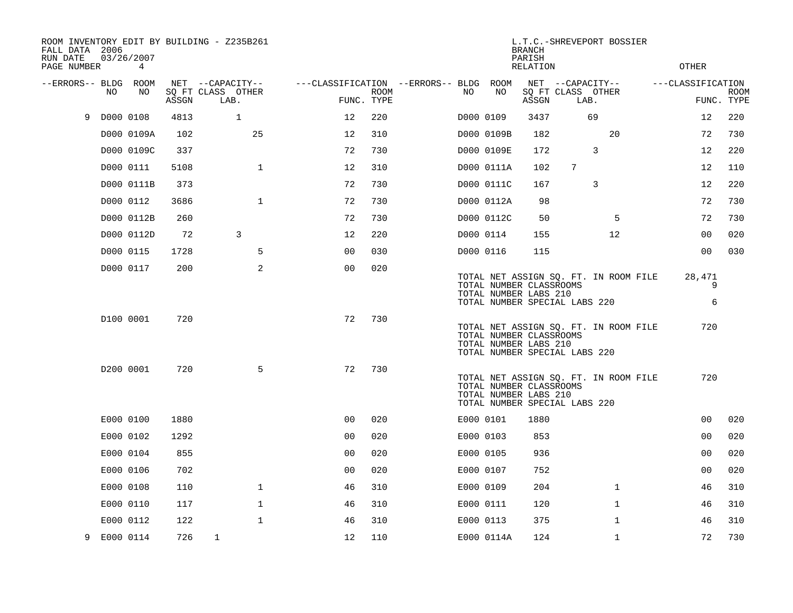| FALL DATA 2006<br>RUN DATE<br>PAGE NUMBER |           | 03/26/2007<br>4 |       | ROOM INVENTORY EDIT BY BUILDING - Z235B261 |                                        |             |           |            | <b>BRANCH</b><br>PARISH<br><b>RELATION</b>                                        |                           | L.T.C.-SHREVEPORT BOSSIER             | <b>OTHER</b>      |                           |
|-------------------------------------------|-----------|-----------------|-------|--------------------------------------------|----------------------------------------|-------------|-----------|------------|-----------------------------------------------------------------------------------|---------------------------|---------------------------------------|-------------------|---------------------------|
| --ERRORS-- BLDG ROOM                      |           |                 |       | NET --CAPACITY--                           | ---CLASSIFICATION --ERRORS-- BLDG ROOM |             |           |            |                                                                                   | NET --CAPACITY--          |                                       | ---CLASSIFICATION |                           |
|                                           | NO.       | NO              | ASSGN | SQ FT CLASS OTHER<br>LAB.                  | FUNC. TYPE                             | <b>ROOM</b> | NO        | NO         | ASSGN                                                                             | SQ FT CLASS OTHER<br>LAB. |                                       |                   | <b>ROOM</b><br>FUNC. TYPE |
| 9                                         | D000 0108 |                 | 4813  | $\mathbf{1}$                               | 12                                     | 220         | D000 0109 |            | 3437                                                                              |                           | 69                                    | 12                | 220                       |
|                                           |           | D000 0109A      | 102   | 25                                         | 12                                     | 310         |           | D000 0109B | 182                                                                               |                           | 20                                    | 72                | 730                       |
|                                           |           | D000 0109C      | 337   |                                            | 72                                     | 730         |           | D000 0109E | 172                                                                               |                           | 3                                     | 12                | 220                       |
|                                           |           | D000 0111       | 5108  | $\mathbf{1}$                               | 12                                     | 310         |           | D000 0111A | 102                                                                               | 7                         |                                       | 12                | 110                       |
|                                           |           | D000 0111B      | 373   |                                            | 72                                     | 730         |           | D000 0111C | 167                                                                               |                           | 3                                     | 12                | 220                       |
|                                           |           | D000 0112       | 3686  | $\mathbf{1}$                               | 72                                     | 730         |           | D000 0112A | 98                                                                                |                           |                                       | 72                | 730                       |
|                                           |           | D000 0112B      | 260   |                                            | 72                                     | 730         |           | D000 0112C | 50                                                                                |                           | 5                                     | 72                | 730                       |
|                                           |           | D000 0112D      | 72    | 3                                          | 12                                     | 220         |           | D000 0114  | 155                                                                               |                           | 12                                    | 00                | 020                       |
|                                           |           | D000 0115       | 1728  | 5                                          | 0 <sub>0</sub>                         | 030         |           | D000 0116  | 115                                                                               |                           |                                       | 0 <sub>0</sub>    | 030                       |
|                                           |           | D000 0117       | 200   | $\overline{a}$                             | 0 <sub>0</sub>                         | 020         |           |            | TOTAL NUMBER CLASSROOMS<br>TOTAL NUMBER LABS 210<br>TOTAL NUMBER SPECIAL LABS 220 |                           | TOTAL NET ASSIGN SQ. FT. IN ROOM FILE | 28,471<br>9<br>6  |                           |
|                                           |           | D100 0001       | 720   |                                            | 72                                     | 730         |           |            | TOTAL NUMBER CLASSROOMS<br>TOTAL NUMBER LABS 210<br>TOTAL NUMBER SPECIAL LABS 220 |                           | TOTAL NET ASSIGN SQ. FT. IN ROOM FILE | 720               |                           |
|                                           |           | D200 0001       | 720   | 5                                          | 72                                     | 730         |           |            | TOTAL NUMBER CLASSROOMS<br>TOTAL NUMBER LABS 210<br>TOTAL NUMBER SPECIAL LABS 220 |                           | TOTAL NET ASSIGN SQ. FT. IN ROOM FILE | 720               |                           |
|                                           |           | E000 0100       | 1880  |                                            | 0 <sub>0</sub>                         | 020         | E000 0101 |            | 1880                                                                              |                           |                                       | 0 <sub>0</sub>    | 020                       |
|                                           |           | E000 0102       | 1292  |                                            | 0 <sub>0</sub>                         | 020         |           | E000 0103  | 853                                                                               |                           |                                       | 0 <sub>0</sub>    | 020                       |
|                                           |           | E000 0104       | 855   |                                            | 0 <sub>0</sub>                         | 020         | E000 0105 |            | 936                                                                               |                           |                                       | 0 <sub>0</sub>    | 020                       |
|                                           |           | E000 0106       | 702   |                                            | 0 <sub>0</sub>                         | 020         |           | E000 0107  | 752                                                                               |                           |                                       | 0 <sub>0</sub>    | 020                       |
|                                           |           | E000 0108       | 110   | $\mathbf 1$                                | 46                                     | 310         | E000 0109 |            | 204                                                                               |                           | $\mathbf{1}$                          | 46                | 310                       |
|                                           |           | E000 0110       | 117   | $\mathbf 1$                                | 46                                     | 310         | E000 0111 |            | 120                                                                               |                           | $\mathbf{1}$                          | 46                | 310                       |
|                                           |           | E000 0112       | 122   | $\mathbf{1}$                               | 46                                     | 310         | E000 0113 |            | 375                                                                               |                           | $\mathbf{1}$                          | 46                | 310                       |
| 9                                         |           | E000 0114       | 726   | $\mathbf{1}$                               | 12                                     | 110         |           | E000 0114A | 124                                                                               |                           | $\mathbf{1}$                          | 72                | 730                       |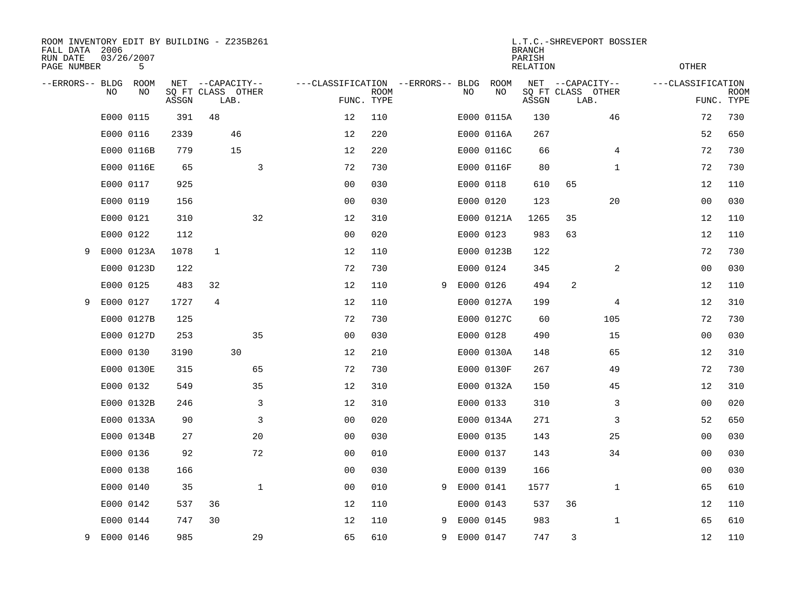| FALL DATA 2006<br>RUN DATE<br>PAGE NUMBER |     | 03/26/2007<br>5 |              | ROOM INVENTORY EDIT BY BUILDING - Z235B261 |                                   |                           |   |           |            | <b>BRANCH</b><br>PARISH<br><b>RELATION</b> | L.T.C.-SHREVEPORT BOSSIER                     | <b>OTHER</b>      |                           |
|-------------------------------------------|-----|-----------------|--------------|--------------------------------------------|-----------------------------------|---------------------------|---|-----------|------------|--------------------------------------------|-----------------------------------------------|-------------------|---------------------------|
| --ERRORS-- BLDG                           | NO. | ROOM<br>NO      | NET<br>ASSGN | --CAPACITY--<br>SQ FT CLASS OTHER<br>LAB.  | ---CLASSIFICATION --ERRORS-- BLDG | <b>ROOM</b><br>FUNC. TYPE |   | NO        | ROOM<br>NO | ASSGN                                      | NET --CAPACITY--<br>SQ FT CLASS OTHER<br>LAB. | ---CLASSIFICATION | <b>ROOM</b><br>FUNC. TYPE |
|                                           |     | E000 0115       | 391          | 48                                         | 12                                | 110                       |   |           | E000 0115A | 130                                        | 46                                            | 72                | 730                       |
|                                           |     | E000 0116       | 2339         | 46                                         | 12                                | 220                       |   |           | E000 0116A | 267                                        |                                               | 52                | 650                       |
|                                           |     | E000 0116B      | 779          | 15                                         | 12                                | 220                       |   |           | E000 0116C | 66                                         | 4                                             | 72                | 730                       |
|                                           |     | E000 0116E      | 65           | 3                                          | 72                                | 730                       |   |           | E000 0116F | 80                                         | $\mathbf{1}$                                  | 72                | 730                       |
|                                           |     | E000 0117       | 925          |                                            | 0 <sub>0</sub>                    | 030                       |   |           | E000 0118  | 610                                        | 65                                            | 12                | 110                       |
|                                           |     | E000 0119       | 156          |                                            | 0 <sub>0</sub>                    | 030                       |   |           | E000 0120  | 123                                        | 20                                            | 0 <sub>0</sub>    | 030                       |
|                                           |     | E000 0121       | 310          | 32                                         | 12                                | 310                       |   |           | E000 0121A | 1265                                       | 35                                            | 12                | 110                       |
|                                           |     | E000 0122       | 112          |                                            | 0 <sub>0</sub>                    | 020                       |   |           | E000 0123  | 983                                        | 63                                            | 12                | 110                       |
| 9                                         |     | E000 0123A      | 1078         | $\mathbf{1}$                               | 12                                | 110                       |   |           | E000 0123B | 122                                        |                                               | 72                | 730                       |
|                                           |     | E000 0123D      | 122          |                                            | 72                                | 730                       |   |           | E000 0124  | 345                                        | 2                                             | 0 <sub>0</sub>    | 030                       |
|                                           |     | E000 0125       | 483          | 32                                         | 12                                | 110                       | 9 |           | E000 0126  | 494                                        | 2                                             | 12                | 110                       |
| 9                                         |     | E000 0127       | 1727         | 4                                          | 12                                | 110                       |   |           | E000 0127A | 199                                        | 4                                             | 12                | 310                       |
|                                           |     | E000 0127B      | 125          |                                            | 72                                | 730                       |   |           | E000 0127C | 60                                         | 105                                           | 72                | 730                       |
|                                           |     | E000 0127D      | 253          | 35                                         | 00                                | 030                       |   |           | E000 0128  | 490                                        | 15                                            | 00                | 030                       |
|                                           |     | E000 0130       | 3190         | 30                                         | 12                                | 210                       |   |           | E000 0130A | 148                                        | 65                                            | 12                | 310                       |
|                                           |     | E000 0130E      | 315          | 65                                         | 72                                | 730                       |   |           | E000 0130F | 267                                        | 49                                            | 72                | 730                       |
|                                           |     | E000 0132       | 549          | 35                                         | 12                                | 310                       |   |           | E000 0132A | 150                                        | 45                                            | 12                | 310                       |
|                                           |     | E000 0132B      | 246          | 3                                          | 12                                | 310                       |   |           | E000 0133  | 310                                        | 3                                             | 00                | 020                       |
|                                           |     | E000 0133A      | 90           | 3                                          | 0 <sub>0</sub>                    | 020                       |   |           | E000 0134A | 271                                        | 3                                             | 52                | 650                       |
|                                           |     | E000 0134B      | 27           | 20                                         | 0 <sub>0</sub>                    | 030                       |   |           | E000 0135  | 143                                        | 25                                            | 0 <sub>0</sub>    | 030                       |
|                                           |     | E000 0136       | 92           | 72                                         | 0 <sub>0</sub>                    | 010                       |   |           | E000 0137  | 143                                        | 34                                            | 0 <sub>0</sub>    | 030                       |
|                                           |     | E000 0138       | 166          |                                            | 0 <sub>0</sub>                    | 030                       |   |           | E000 0139  | 166                                        |                                               | 0 <sub>0</sub>    | 030                       |
|                                           |     | E000 0140       | 35           | $\mathbf{1}$                               | 0 <sub>0</sub>                    | 010                       | 9 | E000 0141 |            | 1577                                       | $\mathbf{1}$                                  | 65                | 610                       |
|                                           |     | E000 0142       | 537          | 36                                         | 12                                | 110                       |   |           | E000 0143  | 537                                        | 36                                            | 12                | 110                       |
|                                           |     | E000 0144       | 747          | 30                                         | 12                                | 110                       | 9 |           | E000 0145  | 983                                        | $\mathbf{1}$                                  | 65                | 610                       |
| 9                                         |     | E000 0146       | 985          | 29                                         | 65                                | 610                       | 9 |           | E000 0147  | 747                                        | 3                                             | 12                | 110                       |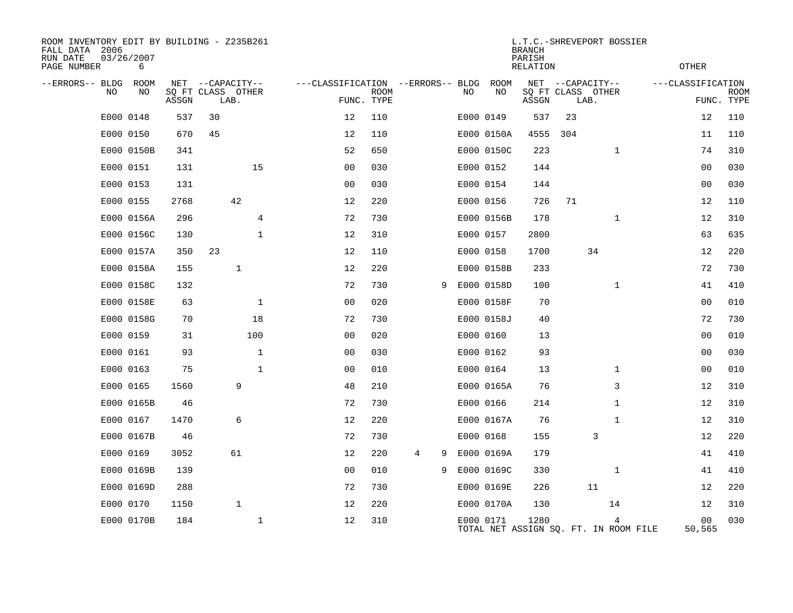| ROOM INVENTORY EDIT BY BUILDING - Z235B261<br>FALL DATA 2006<br>RUN DATE<br>PAGE NUMBER | 03/26/2007<br>6 |       |                           |              |                                   |                           |        |    |            | <b>BRANCH</b><br>PARISH<br>RELATION |     | L.T.C.-SHREVEPORT BOSSIER                  | <b>OTHER</b>             |                           |
|-----------------------------------------------------------------------------------------|-----------------|-------|---------------------------|--------------|-----------------------------------|---------------------------|--------|----|------------|-------------------------------------|-----|--------------------------------------------|--------------------------|---------------------------|
| --ERRORS-- BLDG                                                                         | ROOM            | NET   | --CAPACITY--              |              | ---CLASSIFICATION --ERRORS-- BLDG |                           |        |    | ROOM       |                                     |     | NET --CAPACITY--                           | ---CLASSIFICATION        |                           |
| NO.                                                                                     | NO              | ASSGN | SQ FT CLASS OTHER<br>LAB. |              |                                   | <b>ROOM</b><br>FUNC. TYPE |        | NO | NO         | ASSGN                               |     | SQ FT CLASS OTHER<br>LAB.                  |                          | <b>ROOM</b><br>FUNC. TYPE |
|                                                                                         | E000 0148       | 537   | 30                        |              | 12                                | 110                       |        |    | E000 0149  | 537                                 | 23  |                                            | 12                       | 110                       |
|                                                                                         | E000 0150       | 670   | 45                        |              | 12                                | 110                       |        |    | E000 0150A | 4555                                | 304 |                                            | 11                       | 110                       |
|                                                                                         | E000 0150B      | 341   |                           |              | 52                                | 650                       |        |    | E000 0150C | 223                                 |     | $\mathbf{1}$                               | 74                       | 310                       |
|                                                                                         | E000 0151       | 131   |                           | 15           | 0 <sub>0</sub>                    | 030                       |        |    | E000 0152  | 144                                 |     |                                            | 00                       | 030                       |
|                                                                                         | E000 0153       | 131   |                           |              | 0 <sub>0</sub>                    | 030                       |        |    | E000 0154  | 144                                 |     |                                            | 0 <sub>0</sub>           | 030                       |
|                                                                                         | E000 0155       | 2768  |                           | 42           | 12                                | 220                       |        |    | E000 0156  | 726                                 | 71  |                                            | 12                       | 110                       |
|                                                                                         | E000 0156A      | 296   |                           | 4            | 72                                | 730                       |        |    | E000 0156B | 178                                 |     | $\mathbf{1}$                               | 12                       | 310                       |
|                                                                                         | E000 0156C      | 130   |                           | $\mathbf 1$  | 12                                | 310                       |        |    | E000 0157  | 2800                                |     |                                            | 63                       | 635                       |
|                                                                                         | E000 0157A      | 350   | 23                        |              | 12                                | 110                       |        |    | E000 0158  | 1700                                |     | 34                                         | 12                       | 220                       |
|                                                                                         | E000 0158A      | 155   |                           | $\mathbf{1}$ | 12                                | 220                       |        |    | E000 0158B | 233                                 |     |                                            | 72                       | 730                       |
|                                                                                         | E000 0158C      | 132   |                           |              | 72                                | 730                       | 9      |    | E000 0158D | 100                                 |     | $\mathbf{1}$                               | 41                       | 410                       |
|                                                                                         | E000 0158E      | 63    |                           | $\mathbf 1$  | 0 <sub>0</sub>                    | 020                       |        |    | E000 0158F | 70                                  |     |                                            | 00                       | 010                       |
|                                                                                         | E000 0158G      | 70    |                           | 18           | 72                                | 730                       |        |    | E000 0158J | 40                                  |     |                                            | 72                       | 730                       |
|                                                                                         | E000 0159       | 31    |                           | 100          | 0 <sub>0</sub>                    | 020                       |        |    | E000 0160  | 13                                  |     |                                            | 00                       | 010                       |
|                                                                                         | E000 0161       | 93    |                           | $\mathbf 1$  | 0 <sub>0</sub>                    | 030                       |        |    | E000 0162  | 93                                  |     |                                            | 00                       | 030                       |
|                                                                                         | E000 0163       | 75    |                           | $\mathbf 1$  | 0 <sub>0</sub>                    | 010                       |        |    | E000 0164  | 13                                  |     | $\mathbf{1}$                               | 00                       | 010                       |
|                                                                                         | E000 0165       | 1560  |                           | 9            | 48                                | 210                       |        |    | E000 0165A | 76                                  |     | 3                                          | 12                       | 310                       |
|                                                                                         | E000 0165B      | 46    |                           |              | 72                                | 730                       |        |    | E000 0166  | 214                                 |     | $\mathbf{1}$                               | 12                       | 310                       |
|                                                                                         | E000 0167       | 1470  |                           | 6            | 12                                | 220                       |        |    | E000 0167A | 76                                  |     | $\mathbf{1}$                               | 12                       | 310                       |
|                                                                                         | E000 0167B      | 46    |                           |              | 72                                | 730                       |        |    | E000 0168  | 155                                 |     | 3                                          | 12                       | 220                       |
|                                                                                         | E000 0169       | 3052  |                           | 61           | 12                                | 220                       | 4<br>9 |    | E000 0169A | 179                                 |     |                                            | 41                       | 410                       |
|                                                                                         | E000 0169B      | 139   |                           |              | 0 <sub>0</sub>                    | 010                       | 9      |    | E000 0169C | 330                                 |     | $\mathbf{1}$                               | 41                       | 410                       |
|                                                                                         | E000 0169D      | 288   |                           |              | 72                                | 730                       |        |    | E000 0169E | 226                                 |     | 11                                         | 12                       | 220                       |
|                                                                                         | E000 0170       | 1150  |                           | $\mathbf{1}$ | 12                                | 220                       |        |    | E000 0170A | 130                                 |     | 14                                         | 12                       | 310                       |
|                                                                                         | E000 0170B      | 184   |                           | $\mathbf{1}$ | 12                                | 310                       |        |    | E000 0171  | 1280                                |     | 4<br>TOTAL NET ASSIGN SO. FT. IN ROOM FILE | 0 <sub>0</sub><br>50,565 | 030                       |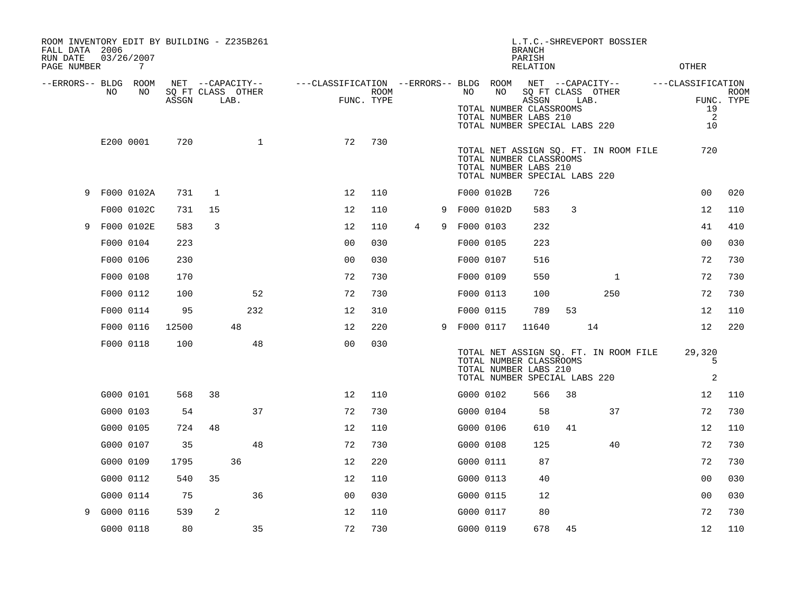| ROOM INVENTORY EDIT BY BUILDING - Z235B261<br>FALL DATA 2006<br>RUN DATE<br>PAGE NUMBER |           | 03/26/2007<br>7 |       |                |                                               |                                        | L.T.C.-SHREVEPORT BOSSIER<br><b>BRANCH</b><br>PARISH<br>RELATION |                 |   |           |                                                                                         |                                                |      | <b>OTHER</b>                          |  |                                    |                           |
|-----------------------------------------------------------------------------------------|-----------|-----------------|-------|----------------|-----------------------------------------------|----------------------------------------|------------------------------------------------------------------|-----------------|---|-----------|-----------------------------------------------------------------------------------------|------------------------------------------------|------|---------------------------------------|--|------------------------------------|---------------------------|
| --ERRORS-- BLDG ROOM                                                                    | NO.       | NO              | ASSGN |                | NET --CAPACITY--<br>SQ FT CLASS OTHER<br>LAB. | ---CLASSIFICATION --ERRORS-- BLDG ROOM | ROOM<br>FUNC. TYPE                                               |                 |   | NO        | NO<br>TOTAL NUMBER CLASSROOMS<br>TOTAL NUMBER LABS 210<br>TOTAL NUMBER SPECIAL LABS 220 | NET --CAPACITY--<br>SQ FT CLASS OTHER<br>ASSGN | LAB. |                                       |  | ---CLASSIFICATION<br>19<br>2<br>10 | <b>ROOM</b><br>FUNC. TYPE |
|                                                                                         |           | E200 0001       | 720   |                | $\mathbf{1}$                                  | 72                                     | 730                                                              |                 |   |           | TOTAL NUMBER CLASSROOMS<br>TOTAL NUMBER LABS 210<br>TOTAL NUMBER SPECIAL LABS 220       |                                                |      | TOTAL NET ASSIGN SQ. FT. IN ROOM FILE |  | 720                                |                           |
|                                                                                         |           | 9 F000 0102A    | 731   | $\mathbf{1}$   |                                               | 12                                     | 110                                                              |                 |   |           | F000 0102B                                                                              | 726                                            |      |                                       |  | 0 <sub>0</sub>                     | 020                       |
|                                                                                         |           | F000 0102C      | 731   | 15             |                                               | 12                                     | 110                                                              |                 | 9 |           | F000 0102D                                                                              | 583                                            | 3    |                                       |  | 12                                 | 110                       |
| 9                                                                                       |           | F000 0102E      | 583   | $\overline{3}$ |                                               | 12                                     | 110                                                              | $4\overline{ }$ | 9 | F000 0103 |                                                                                         | 232                                            |      |                                       |  | 41                                 | 410                       |
|                                                                                         |           | F000 0104       | 223   |                |                                               | 0 <sub>0</sub>                         | 030                                                              |                 |   | F000 0105 |                                                                                         | 223                                            |      |                                       |  | 0 <sub>0</sub>                     | 030                       |
|                                                                                         |           | F000 0106       | 230   |                |                                               | 0 <sub>0</sub>                         | 030                                                              |                 |   | F000 0107 |                                                                                         | 516                                            |      |                                       |  | 72                                 | 730                       |
|                                                                                         |           | F000 0108       | 170   |                |                                               | 72                                     | 730                                                              |                 |   | F000 0109 |                                                                                         | 550                                            |      | $\mathbf{1}$                          |  | 72                                 | 730                       |
|                                                                                         |           | F000 0112       | 100   |                | 52                                            | 72                                     | 730                                                              |                 |   | F000 0113 |                                                                                         | 100                                            |      | 250                                   |  | 72                                 | 730                       |
|                                                                                         |           | F000 0114       | 95    |                | 232                                           | 12                                     | 310                                                              |                 |   | F000 0115 |                                                                                         | 789                                            | 53   |                                       |  | 12                                 | 110                       |
|                                                                                         |           | F000 0116       | 12500 |                | 48                                            | 12                                     | 220                                                              |                 | 9 | F000 0117 |                                                                                         | 11640                                          |      | 14                                    |  | 12                                 | 220                       |
|                                                                                         |           | F000 0118       | 100   |                | 48                                            | 0 <sub>0</sub>                         | 030                                                              |                 |   |           | TOTAL NUMBER CLASSROOMS<br>TOTAL NUMBER LABS 210<br>TOTAL NUMBER SPECIAL LABS 220       |                                                |      | TOTAL NET ASSIGN SQ. FT. IN ROOM FILE |  | 29,320<br>5<br>2                   |                           |
|                                                                                         |           | G000 0101       | 568   | 38             |                                               | 12                                     | 110                                                              |                 |   | G000 0102 |                                                                                         | 566                                            | 38   |                                       |  | 12                                 | 110                       |
|                                                                                         |           | G000 0103       | 54    |                | 37                                            | 72                                     | 730                                                              |                 |   | G000 0104 |                                                                                         | 58                                             |      | 37                                    |  | 72                                 | 730                       |
|                                                                                         |           | G000 0105       | 724   | 48             |                                               | 12                                     | 110                                                              |                 |   | G000 0106 |                                                                                         | 610                                            | 41   |                                       |  | 12                                 | 110                       |
|                                                                                         |           | G000 0107       | 35    |                | 48                                            | 72                                     | 730                                                              |                 |   | G000 0108 |                                                                                         | 125                                            |      | 40                                    |  | 72                                 | 730                       |
|                                                                                         |           | G000 0109       | 1795  |                | 36                                            | 12                                     | 220                                                              |                 |   | G000 0111 |                                                                                         | 87                                             |      |                                       |  | 72                                 | 730                       |
|                                                                                         |           | G000 0112       | 540   | 35             |                                               | 12                                     | 110                                                              |                 |   | G000 0113 |                                                                                         | 40                                             |      |                                       |  | 0 <sub>0</sub>                     | 030                       |
|                                                                                         |           | G000 0114       | 75    |                | 36                                            | 0 <sub>0</sub>                         | 030                                                              |                 |   | G000 0115 |                                                                                         | 12                                             |      |                                       |  | 0 <sub>0</sub>                     | 030                       |
| 9                                                                                       | G000 0116 |                 | 539   | 2              |                                               | 12                                     | 110                                                              |                 |   | G000 0117 |                                                                                         | 80                                             |      |                                       |  | 72                                 | 730                       |
|                                                                                         |           | G000 0118       | 80    |                | 35                                            | 72                                     | 730                                                              |                 |   | G000 0119 |                                                                                         | 678                                            | 45   |                                       |  | 12                                 | 110                       |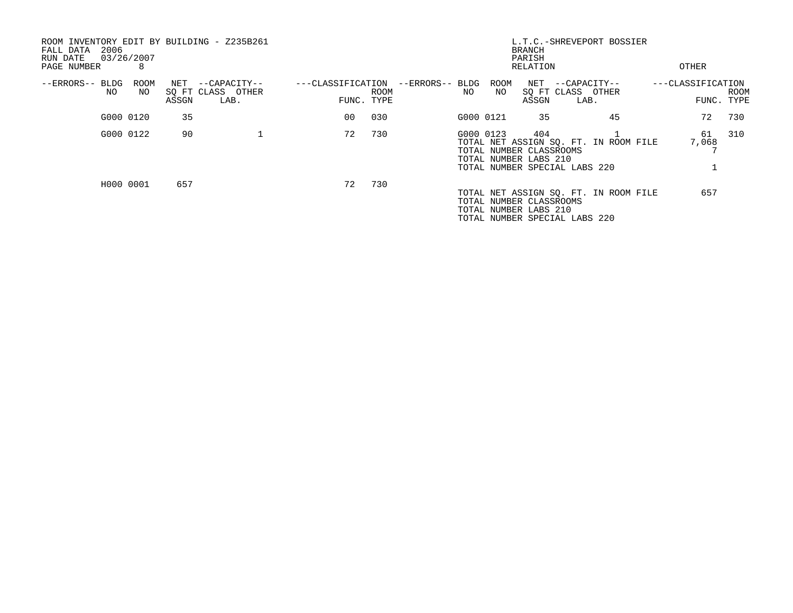| ROOM INVENTORY EDIT BY BUILDING - Z235B261<br>2006<br>FALL DATA<br>03/26/2007<br>RUN DATE<br>PAGE NUMBER | 8           |       |                                               |            |             |                                         |            | <b>BRANCH</b><br>PARISH<br>RELATION                     | L.T.C.-SHREVEPORT BOSSIER                                              | OTHER             |                           |
|----------------------------------------------------------------------------------------------------------|-------------|-------|-----------------------------------------------|------------|-------------|-----------------------------------------|------------|---------------------------------------------------------|------------------------------------------------------------------------|-------------------|---------------------------|
| --ERRORS-- BLDG<br>NO                                                                                    | ROOM<br>NO. | ASSGN | NET --CAPACITY--<br>SQ FT CLASS OTHER<br>LAB. | FUNC. TYPE | <b>ROOM</b> | ---CLASSIFICATION --ERRORS-- BLDG<br>NO | ROOM<br>NO | ASSGN                                                   | NET --CAPACITY--<br>SQ FT CLASS OTHER<br>LAB.                          | ---CLASSIFICATION | <b>ROOM</b><br>FUNC. TYPE |
|                                                                                                          | G000 0120   | 35    |                                               | 00         | 030         |                                         | G000 0121  | 35                                                      | 45                                                                     | 72                | 730                       |
|                                                                                                          | G000 0122   | 90    |                                               | 72         | 730         |                                         | G000 0123  | 404<br>TOTAL NUMBER CLASSROOMS<br>TOTAL NUMBER LABS 210 | TOTAL NET ASSIGN SO. FT. IN ROOM FILE<br>TOTAL NUMBER SPECIAL LABS 220 | 61<br>7,068       | 310                       |
|                                                                                                          | H000 0001   | 657   |                                               | 72         | 730         |                                         |            | TOTAL NUMBER CLASSROOMS<br>TOTAL NUMBER LABS 210        | TOTAL NET ASSIGN SQ. FT. IN ROOM FILE<br>TOTAL NUMBER SPECIAL LABS 220 | 657               |                           |